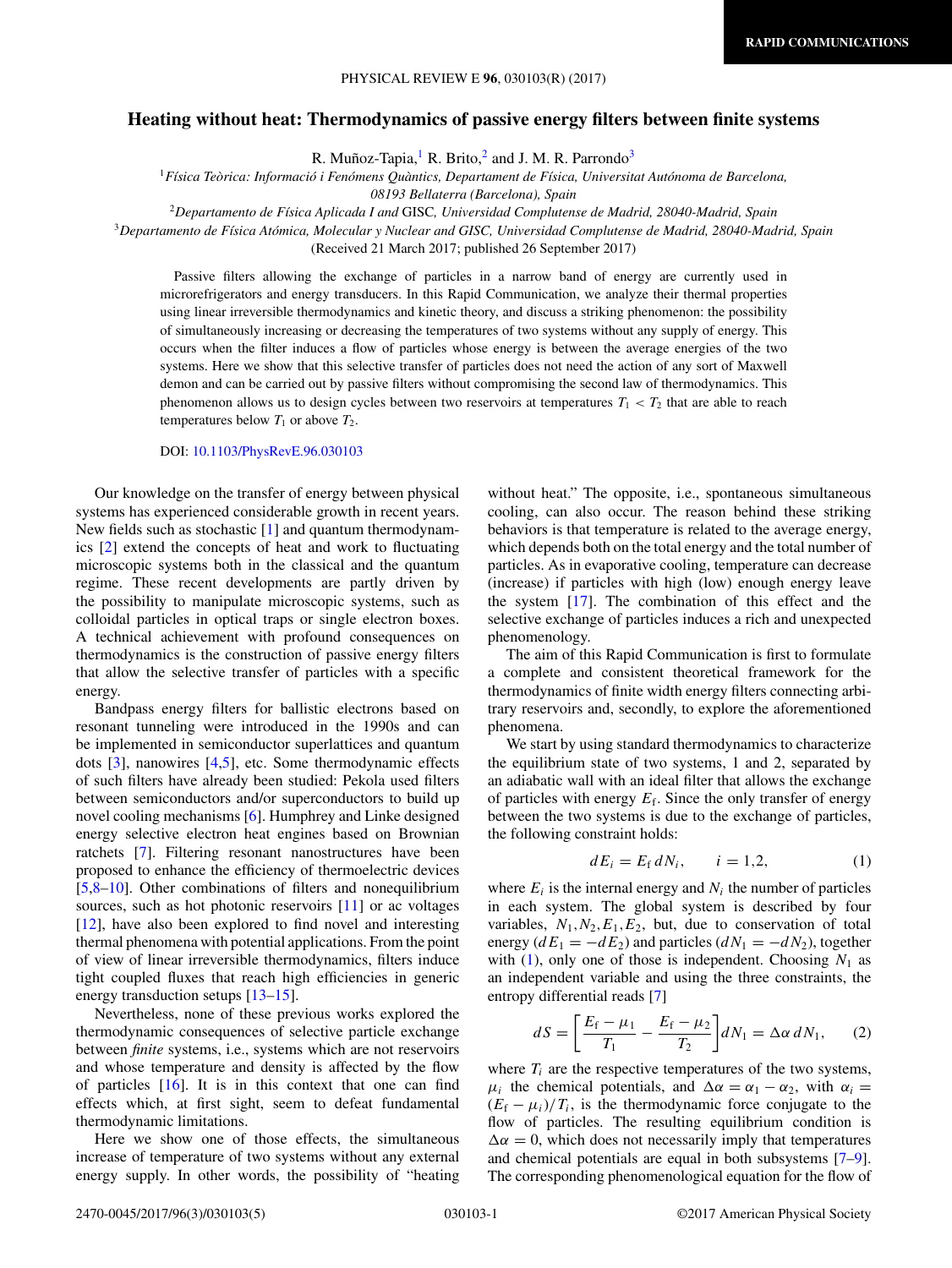## <span id="page-0-0"></span>**Heating without heat: Thermodynamics of passive energy filters between finite systems**

R. Muñoz-Tapia,<sup>1</sup> R. Brito,<sup>2</sup> and J. M. R. Parrondo<sup>3</sup>

<sup>1</sup>*Física Teòrica: Informació i Fenómens Quàntics, Departament de Física, Universitat Autónoma de Barcelona,*

*08193 Bellaterra (Barcelona), Spain*

<sup>2</sup>*Departamento de Física Aplicada I and* GISC*, Universidad Complutense de Madrid, 28040-Madrid, Spain*

<sup>3</sup>*Departamento de Física Atómica, Molecular y Nuclear and GISC, Universidad Complutense de Madrid, 28040-Madrid, Spain*

(Received 21 March 2017; published 26 September 2017)

Passive filters allowing the exchange of particles in a narrow band of energy are currently used in microrefrigerators and energy transducers. In this Rapid Communication, we analyze their thermal properties using linear irreversible thermodynamics and kinetic theory, and discuss a striking phenomenon: the possibility of simultaneously increasing or decreasing the temperatures of two systems without any supply of energy. This occurs when the filter induces a flow of particles whose energy is between the average energies of the two systems. Here we show that this selective transfer of particles does not need the action of any sort of Maxwell demon and can be carried out by passive filters without compromising the second law of thermodynamics. This phenomenon allows us to design cycles between two reservoirs at temperatures  $T_1 < T_2$  that are able to reach temperatures below  $T_1$  or above  $T_2$ .

## DOI: [10.1103/PhysRevE.96.030103](https://doi.org/10.1103/PhysRevE.96.030103)

Our knowledge on the transfer of energy between physical systems has experienced considerable growth in recent years. New fields such as stochastic [\[1\]](#page-3-0) and quantum thermodynamics [\[2\]](#page-3-0) extend the concepts of heat and work to fluctuating microscopic systems both in the classical and the quantum regime. These recent developments are partly driven by the possibility to manipulate microscopic systems, such as colloidal particles in optical traps or single electron boxes. A technical achievement with profound consequences on thermodynamics is the construction of passive energy filters that allow the selective transfer of particles with a specific energy.

Bandpass energy filters for ballistic electrons based on resonant tunneling were introduced in the 1990s and can be implemented in semiconductor superlattices and quantum dots [\[3\]](#page-3-0), nanowires [\[4,5\]](#page-3-0), etc. Some thermodynamic effects of such filters have already been studied: Pekola used filters between semiconductors and/or superconductors to build up novel cooling mechanisms [\[6\]](#page-3-0). Humphrey and Linke designed energy selective electron heat engines based on Brownian ratchets [\[7\]](#page-3-0). Filtering resonant nanostructures have been proposed to enhance the efficiency of thermoelectric devices [\[5](#page-3-0)[,8–10\]](#page-4-0). Other combinations of filters and nonequilibrium sources, such as hot photonic reservoirs [\[11\]](#page-4-0) or ac voltages [\[12\]](#page-4-0), have also been explored to find novel and interesting thermal phenomena with potential applications. From the point of view of linear irreversible thermodynamics, filters induce tight coupled fluxes that reach high efficiencies in generic energy transduction setups [\[13–15\]](#page-4-0).

Nevertheless, none of these previous works explored the thermodynamic consequences of selective particle exchange between *finite* systems, i.e., systems which are not reservoirs and whose temperature and density is affected by the flow of particles  $[16]$ . It is in this context that one can find effects which, at first sight, seem to defeat fundamental thermodynamic limitations.

Here we show one of those effects, the simultaneous increase of temperature of two systems without any external energy supply. In other words, the possibility of "heating

without heat." The opposite, i.e., spontaneous simultaneous cooling, can also occur. The reason behind these striking behaviors is that temperature is related to the average energy, which depends both on the total energy and the total number of particles. As in evaporative cooling, temperature can decrease (increase) if particles with high (low) enough energy leave the system  $[17]$ . The combination of this effect and the selective exchange of particles induces a rich and unexpected phenomenology.

The aim of this Rapid Communication is first to formulate a complete and consistent theoretical framework for the thermodynamics of finite width energy filters connecting arbitrary reservoirs and, secondly, to explore the aforementioned phenomena.

We start by using standard thermodynamics to characterize the equilibrium state of two systems, 1 and 2, separated by an adiabatic wall with an ideal filter that allows the exchange of particles with energy  $E_f$ . Since the only transfer of energy between the two systems is due to the exchange of particles, the following constraint holds:

$$
dE_i = E_f dN_i, \qquad i = 1, 2, \tag{1}
$$

where  $E_i$  is the internal energy and  $N_i$  the number of particles in each system. The global system is described by four variables,  $N_1, N_2, E_1, E_2$ , but, due to conservation of total energy  $(dE_1 = -dE_2)$  and particles  $(dN_1 = -dN_2)$ , together with  $(1)$ , only one of those is independent. Choosing  $N_1$  as an independent variable and using the three constraints, the entropy differential reads [\[7\]](#page-3-0)

$$
dS = \left[\frac{E_{\rm f} - \mu_1}{T_1} - \frac{E_{\rm f} - \mu_2}{T_2}\right] dN_1 = \Delta \alpha \, dN_1,\qquad(2)
$$

where  $T_i$  are the respective temperatures of the two systems,  $\mu_i$  the chemical potentials, and  $\Delta \alpha = \alpha_1 - \alpha_2$ , with  $\alpha_i =$  $(E_f - \mu_i)/T_i$ , is the thermodynamic force conjugate to the flow of particles. The resulting equilibrium condition is  $\Delta \alpha = 0$ , which does not necessarily imply that temperatures and chemical potentials are equal in both subsystems [\[7–](#page-3-0)[9\]](#page-4-0). The corresponding phenomenological equation for the flow of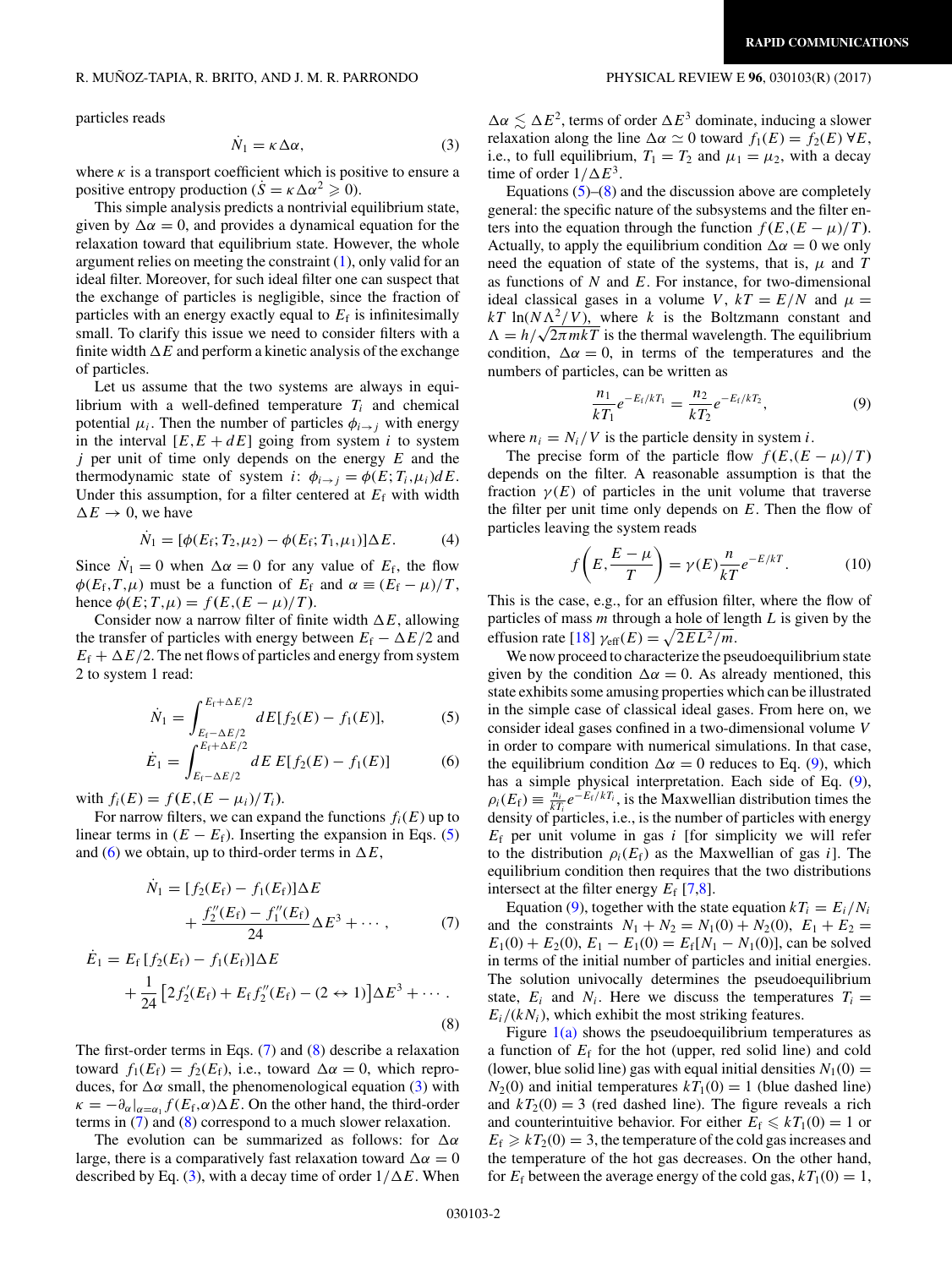<span id="page-1-0"></span>particles reads

$$
\dot{N}_1 = \kappa \Delta \alpha,\tag{3}
$$

where  $\kappa$  is a transport coefficient which is positive to ensure a positive entropy production ( $\dot{S} = \kappa \Delta \alpha^2 \geq 0$ ).

This simple analysis predicts a nontrivial equilibrium state, given by  $\Delta \alpha = 0$ , and provides a dynamical equation for the relaxation toward that equilibrium state. However, the whole argument relies on meeting the constraint  $(1)$ , only valid for an ideal filter. Moreover, for such ideal filter one can suspect that the exchange of particles is negligible, since the fraction of particles with an energy exactly equal to  $E_f$  is infinitesimally small. To clarify this issue we need to consider filters with a finite width  $\Delta E$  and perform a kinetic analysis of the exchange of particles.

Let us assume that the two systems are always in equilibrium with a well-defined temperature  $T_i$  and chemical potential  $\mu_i$ . Then the number of particles  $\phi_{i \to j}$  with energy in the interval  $[E, E + dE]$  going from system *i* to system *j* per unit of time only depends on the energy *E* and the thermodynamic state of system *i*:  $\phi_{i \to j} = \phi(E; T_i, \mu_i) dE$ . Under this assumption, for a filter centered at  $E_f$  with width  $\Delta E \rightarrow 0$ , we have

$$
\dot{N}_1 = [\phi(E_f; T_2, \mu_2) - \phi(E_f; T_1, \mu_1)] \Delta E. \tag{4}
$$

Since  $N_1 = 0$  when  $\Delta \alpha = 0$  for any value of  $E_f$ , the flow  $\phi(E_f, T, \mu)$  must be a function of  $E_f$  and  $\alpha \equiv (E_f - \mu)/T$ , hence  $\phi(E; T, \mu) = f(E, (E - \mu)/T)$ .

Consider now a narrow filter of finite width  $\Delta E$ , allowing the transfer of particles with energy between  $E_f - \Delta E/2$  and  $E_f + \Delta E/2$ . The net flows of particles and energy from system 2 to system 1 read:

$$
\dot{N}_1 = \int_{E_f - \Delta E/2}^{E_f + \Delta E/2} dE[f_2(E) - f_1(E)],\tag{5}
$$

$$
\dot{E}_1 = \int_{E_f - \Delta E/2}^{E_f + \Delta E/2} dE \, E[f_2(E) - f_1(E)] \tag{6}
$$

with  $f_i(E) = f(E,(E - \mu_i)/T_i)$ .

For narrow filters, we can expand the functions  $f_i(E)$  up to linear terms in  $(E - E_f)$ . Inserting the expansion in Eqs. (5) and (6) we obtain, up to third-order terms in  $\Delta E$ ,

$$
\dot{N}_1 = [f_2(E_f) - f_1(E_f)]\Delta E \n+ \frac{f_2''(E_f) - f_1''(E_f)}{24}\Delta E^3 + \cdots,
$$
\n(7)

$$
\dot{E}_1 = E_f [f_2(E_f) - f_1(E_f)] \Delta E \n+ \frac{1}{24} [2f'_2(E_f) + E_f f''_2(E_f) - (2 \leftrightarrow 1)] \Delta E^3 + \cdots.
$$
\n(8)

The first-order terms in Eqs.  $(7)$  and  $(8)$  describe a relaxation toward  $f_1(E_f) = f_2(E_f)$ , i.e., toward  $\Delta \alpha = 0$ , which reproduces, for  $\Delta \alpha$  small, the phenomenological equation (3) with  $\kappa = -\partial_{\alpha}|_{\alpha = \alpha_1} f(E_f, \alpha) \Delta E$ . On the other hand, the third-order terms in (7) and (8) correspond to a much slower relaxation.

The evolution can be summarized as follows: for  $\Delta \alpha$ large, there is a comparatively fast relaxation toward  $\Delta \alpha = 0$ described by Eq. (3), with a decay time of order  $1/\Delta E$ . When

 $\Delta \alpha \lesssim \Delta E^2$ , terms of order  $\Delta E^3$  dominate, inducing a slower relaxation along the line  $\Delta \alpha \simeq 0$  toward  $f_1(E) = f_2(E) \forall E$ , i.e., to full equilibrium,  $T_1 = T_2$  and  $\mu_1 = \mu_2$ , with a decay time of order  $1/\Delta E^3$ .

Equations  $(5)$ – $(8)$  and the discussion above are completely general: the specific nature of the subsystems and the filter enters into the equation through the function  $f(E, (E - \mu)/T)$ . Actually, to apply the equilibrium condition  $\Delta \alpha = 0$  we only need the equation of state of the systems, that is,  $\mu$  and  $T$ as functions of *N* and *E*. For instance, for two-dimensional ideal classical gases in a volume *V*,  $kT = E/N$  and  $\mu =$  $kT \ln(N\Lambda^2/V)$ , where *k* is the Boltzmann constant and  $\Lambda = h/\sqrt{2\pi mkT}$  is the thermal wavelength. The equilibrium condition,  $\Delta \alpha = 0$ , in terms of the temperatures and the numbers of particles, can be written as

$$
\frac{n_1}{kT_1}e^{-E_f/kT_1} = \frac{n_2}{kT_2}e^{-E_f/kT_2},\tag{9}
$$

where  $n_i = N_i/V$  is the particle density in system *i*.

The precise form of the particle flow  $f(E, (E - \mu)/T)$ depends on the filter. A reasonable assumption is that the fraction  $\gamma(E)$  of particles in the unit volume that traverse the filter per unit time only depends on *E*. Then the flow of particles leaving the system reads

$$
f\left(E, \frac{E - \mu}{T}\right) = \gamma(E) \frac{n}{kT} e^{-E/kT}.
$$
 (10)

This is the case, e.g., for an effusion filter, where the flow of particles of mass *m* through a hole of length *L* is given by the effusion rate [\[18\]](#page-4-0)  $\gamma_{\text{eff}}(E) = \sqrt{2EL^2/m}$ .

We now proceed to characterize the pseudoequilibrium state given by the condition  $\Delta \alpha = 0$ . As already mentioned, this state exhibits some amusing properties which can be illustrated in the simple case of classical ideal gases. From here on, we consider ideal gases confined in a two-dimensional volume *V* in order to compare with numerical simulations. In that case, the equilibrium condition  $\Delta \alpha = 0$  reduces to Eq. (9), which has a simple physical interpretation. Each side of Eq. (9),  $\rho_i(E_f) \equiv \frac{\tilde{n}_i}{kT_i} e^{-E_f/kT_i}$ , is the Maxwellian distribution times the density of particles, i.e., is the number of particles with energy *E*<sup>f</sup> per unit volume in gas *i* [for simplicity we will refer to the distribution  $\rho_i(E_f)$  as the Maxwellian of gas *i*]. The equilibrium condition then requires that the two distributions intersect at the filter energy  $E_f$  [\[7](#page-3-0)[,8\]](#page-4-0).

Equation (9), together with the state equation  $kT_i = E_i/N_i$ and the constraints  $N_1 + N_2 = N_1(0) + N_2(0), E_1 + E_2 =$  $E_1(0) + E_2(0), E_1 - E_1(0) = E_f[N_1 - N_1(0)],$  can be solved in terms of the initial number of particles and initial energies. The solution univocally determines the pseudoequilibrium state,  $E_i$  and  $N_i$ . Here we discuss the temperatures  $T_i =$  $E_i/(kN_i)$ , which exhibit the most striking features.

Figure  $1(a)$  shows the pseudoequilibrium temperatures as a function of  $E_f$  for the hot (upper, red solid line) and cold (lower, blue solid line) gas with equal initial densities  $N_1(0)$  =  $N_2(0)$  and initial temperatures  $kT_1(0) = 1$  (blue dashed line) and  $kT_2(0) = 3$  (red dashed line). The figure reveals a rich and counterintuitive behavior. For either  $E_f \le kT_1(0) = 1$  or  $E_f \ge kT_2(0) = 3$ , the temperature of the cold gas increases and the temperature of the hot gas decreases. On the other hand, for  $E_f$  between the average energy of the cold gas,  $kT_1(0) = 1$ ,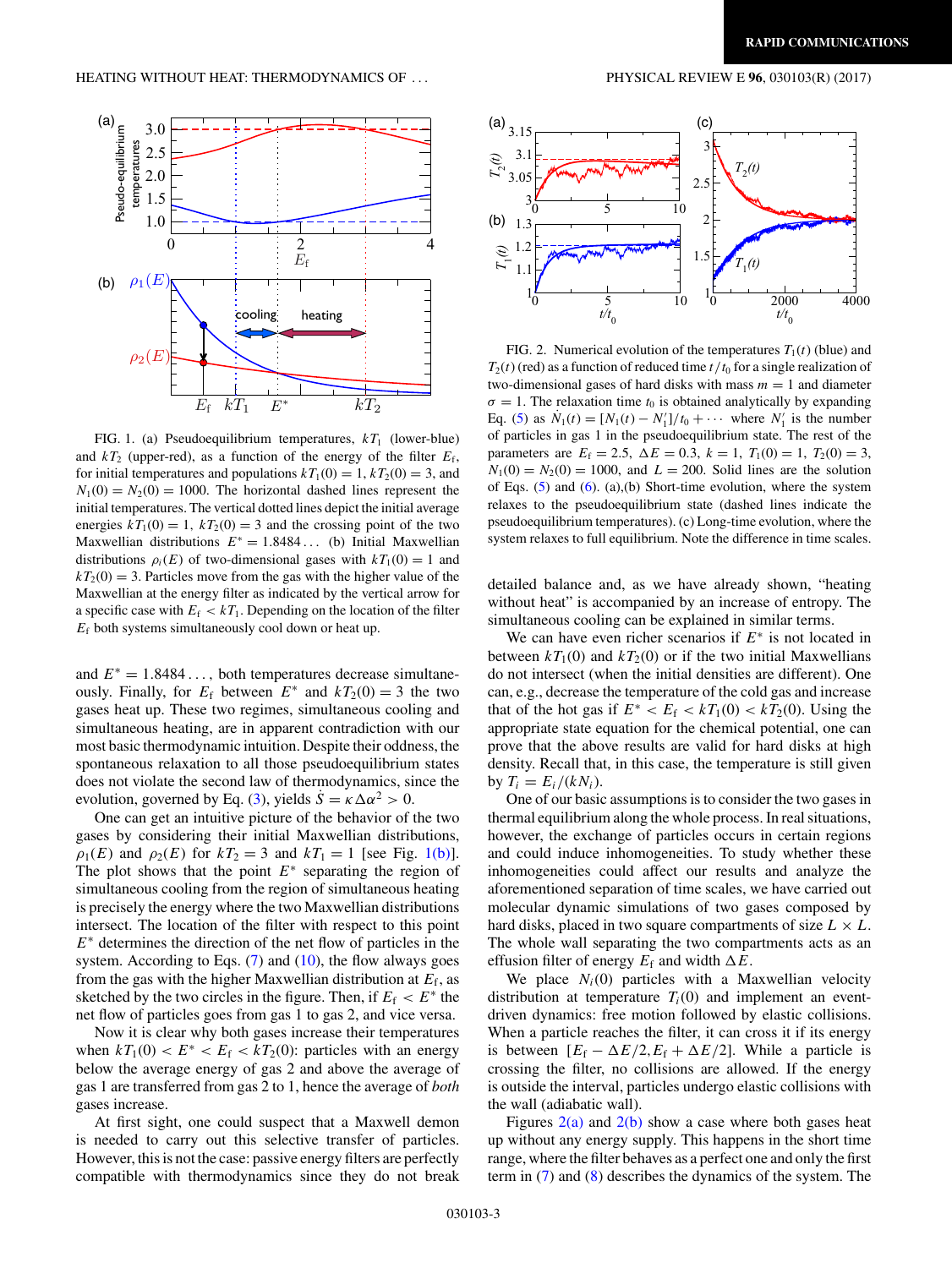<span id="page-2-0"></span>

FIG. 1. (a) Pseudoequilibrium temperatures,  $kT_1$  (lower-blue) and  $kT_2$  (upper-red), as a function of the energy of the filter  $E_f$ , for initial temperatures and populations  $kT_1(0) = 1$ ,  $kT_2(0) = 3$ , and  $N_1(0) = N_2(0) = 1000$ . The horizontal dashed lines represent the initial temperatures. The vertical dotted lines depict the initial average energies  $kT_1(0) = 1$ ,  $kT_2(0) = 3$  and the crossing point of the two Maxwellian distributions *E*<sup>∗</sup> = 1*.*8484 *...* (b) Initial Maxwellian distributions  $\rho_i(E)$  of two-dimensional gases with  $kT_1(0) = 1$  and  $kT_2(0) = 3$ . Particles move from the gas with the higher value of the Maxwellian at the energy filter as indicated by the vertical arrow for a specific case with  $E_f < kT_1$ . Depending on the location of the filter *E*<sup>f</sup> both systems simultaneously cool down or heat up.

and  $E^* = 1.8484...$ , both temperatures decrease simultaneously. Finally, for  $E_f$  between  $E^*$  and  $kT_2(0) = 3$  the two gases heat up. These two regimes, simultaneous cooling and simultaneous heating, are in apparent contradiction with our most basic thermodynamic intuition. Despite their oddness, the spontaneous relaxation to all those pseudoequilibrium states does not violate the second law of thermodynamics, since the evolution, governed by Eq. [\(3\)](#page-1-0), yields  $\dot{S} = \kappa \Delta \alpha^2 > 0$ .

One can get an intuitive picture of the behavior of the two gases by considering their initial Maxwellian distributions, *ρ*<sub>1</sub>(*E*) and *ρ*<sub>2</sub>(*E*) for  $kT_2 = 3$  and  $kT_1 = 1$  [see Fig. 1(b)]. The plot shows that the point *E*<sup>∗</sup> separating the region of simultaneous cooling from the region of simultaneous heating is precisely the energy where the two Maxwellian distributions intersect. The location of the filter with respect to this point *E*<sup>∗</sup> determines the direction of the net flow of particles in the system. According to Eqs.  $(7)$  and  $(10)$ , the flow always goes from the gas with the higher Maxwellian distribution at  $E_f$ , as sketched by the two circles in the figure. Then, if  $E_f < E^*$  the net flow of particles goes from gas 1 to gas 2, and vice versa.

Now it is clear why both gases increase their temperatures when  $kT_1(0) < E^* < E_f < kT_2(0)$ : particles with an energy below the average energy of gas 2 and above the average of gas 1 are transferred from gas 2 to 1, hence the average of *both* gases increase.

At first sight, one could suspect that a Maxwell demon is needed to carry out this selective transfer of particles. However, this is not the case: passive energy filters are perfectly compatible with thermodynamics since they do not break



FIG. 2. Numerical evolution of the temperatures  $T_1(t)$  (blue) and  $T_2(t)$  (red) as a function of reduced time  $t/t_0$  for a single realization of two-dimensional gases of hard disks with mass  $m = 1$  and diameter  $\sigma = 1$ . The relaxation time  $t_0$  is obtained analytically by expanding Eq. [\(5\)](#page-1-0) as  $N_1(t) = [N_1(t) - N'_1]/t_0 + \cdots$  where  $N'_1$  is the number of particles in gas 1 in the pseudoequilibrium state. The rest of the parameters are  $E_f = 2.5$ ,  $\Delta E = 0.3$ ,  $k = 1$ ,  $T_1(0) = 1$ ,  $T_2(0) = 3$ ,  $N_1(0) = N_2(0) = 1000$ , and  $L = 200$ . Solid lines are the solution of Eqs. [\(5\)](#page-1-0) and [\(6\)](#page-1-0). (a),(b) Short-time evolution, where the system relaxes to the pseudoequilibrium state (dashed lines indicate the pseudoequilibrium temperatures). (c) Long-time evolution, where the system relaxes to full equilibrium. Note the difference in time scales.

detailed balance and, as we have already shown, "heating without heat" is accompanied by an increase of entropy. The simultaneous cooling can be explained in similar terms.

We can have even richer scenarios if *E*<sup>∗</sup> is not located in between  $kT_1(0)$  and  $kT_2(0)$  or if the two initial Maxwellians do not intersect (when the initial densities are different). One can, e.g., decrease the temperature of the cold gas and increase that of the hot gas if  $E^* < E_f < kT_1(0) < kT_2(0)$ . Using the appropriate state equation for the chemical potential, one can prove that the above results are valid for hard disks at high density. Recall that, in this case, the temperature is still given by  $T_i = E_i/(kN_i)$ .

One of our basic assumptions is to consider the two gases in thermal equilibrium along the whole process. In real situations, however, the exchange of particles occurs in certain regions and could induce inhomogeneities. To study whether these inhomogeneities could affect our results and analyze the aforementioned separation of time scales, we have carried out molecular dynamic simulations of two gases composed by hard disks, placed in two square compartments of size  $L \times L$ . The whole wall separating the two compartments acts as an effusion filter of energy  $E_f$  and width  $\Delta E$ .

We place  $N_i(0)$  particles with a Maxwellian velocity distribution at temperature  $T_i(0)$  and implement an eventdriven dynamics: free motion followed by elastic collisions. When a particle reaches the filter, it can cross it if its energy is between  $[E_f - \Delta E/2, E_f + \Delta E/2]$ . While a particle is crossing the filter, no collisions are allowed. If the energy is outside the interval, particles undergo elastic collisions with the wall (adiabatic wall).

Figures  $2(a)$  and  $2(b)$  show a case where both gases heat up without any energy supply. This happens in the short time range, where the filter behaves as a perfect one and only the first term in [\(7\)](#page-1-0) and [\(8\)](#page-1-0) describes the dynamics of the system. The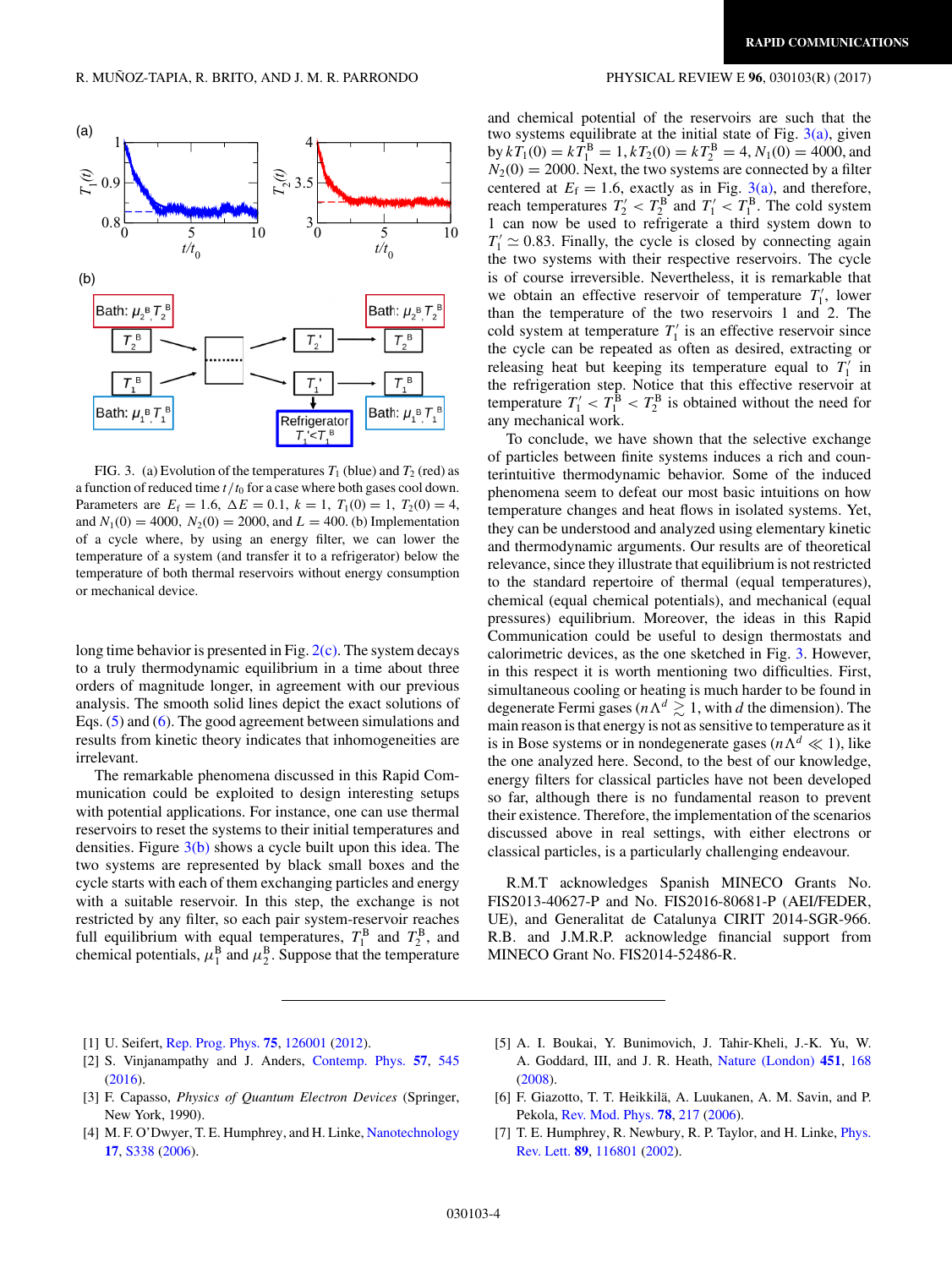<span id="page-3-0"></span>

FIG. 3. (a) Evolution of the temperatures  $T_1$  (blue) and  $T_2$  (red) as a function of reduced time *t/t*<sup>0</sup> for a case where both gases cool down. Parameters are  $E_f = 1.6$ ,  $\Delta E = 0.1$ ,  $k = 1$ ,  $T_1(0) = 1$ ,  $T_2(0) = 4$ , and  $N_1(0) = 4000$ ,  $N_2(0) = 2000$ , and  $L = 400$ . (b) Implementation of a cycle where, by using an energy filter, we can lower the temperature of a system (and transfer it to a refrigerator) below the temperature of both thermal reservoirs without energy consumption or mechanical device.

long time behavior is presented in Fig.  $2(c)$ . The system decays to a truly thermodynamic equilibrium in a time about three orders of magnitude longer, in agreement with our previous analysis. The smooth solid lines depict the exact solutions of Eqs. [\(5\)](#page-1-0) and [\(6\)](#page-1-0). The good agreement between simulations and results from kinetic theory indicates that inhomogeneities are irrelevant.

The remarkable phenomena discussed in this Rapid Communication could be exploited to design interesting setups with potential applications. For instance, one can use thermal reservoirs to reset the systems to their initial temperatures and densities. Figure  $3(b)$  shows a cycle built upon this idea. The two systems are represented by black small boxes and the cycle starts with each of them exchanging particles and energy with a suitable reservoir. In this step, the exchange is not restricted by any filter, so each pair system-reservoir reaches full equilibrium with equal temperatures,  $T_1^B$  and  $T_2^B$ , and chemical potentials,  $\mu_1^B$  and  $\mu_2^B$ . Suppose that the temperature

and chemical potential of the reservoirs are such that the two systems equilibrate at the initial state of Fig.  $3(a)$ , given by  $kT_1(0) = kT_1^B = 1, kT_2(0) = kT_2^B = 4, N_1(0) = 4000$ , and  $N_2(0) = 2000$ . Next, the two systems are connected by a filter centered at  $E_f = 1.6$ , exactly as in Fig. 3(a), and therefore, reach temperatures  $T_2' < T_2^B$  and  $T_1' < T_1^B$ . The cold system 1 can now be used to refrigerate a third system down to  $T_1' \simeq 0.83$ . Finally, the cycle is closed by connecting again the two systems with their respective reservoirs. The cycle is of course irreversible. Nevertheless, it is remarkable that we obtain an effective reservoir of temperature  $T_1$ , lower than the temperature of the two reservoirs 1 and 2. The cold system at temperature  $T_1$  is an effective reservoir since the cycle can be repeated as often as desired, extracting or releasing heat but keeping its temperature equal to  $T_1'$  in the refrigeration step. Notice that this effective reservoir at temperature  $T_1' < T_1^B < T_2^B$  is obtained without the need for any mechanical work.

To conclude, we have shown that the selective exchange of particles between finite systems induces a rich and counterintuitive thermodynamic behavior. Some of the induced phenomena seem to defeat our most basic intuitions on how temperature changes and heat flows in isolated systems. Yet, they can be understood and analyzed using elementary kinetic and thermodynamic arguments. Our results are of theoretical relevance, since they illustrate that equilibrium is not restricted to the standard repertoire of thermal (equal temperatures), chemical (equal chemical potentials), and mechanical (equal pressures) equilibrium. Moreover, the ideas in this Rapid Communication could be useful to design thermostats and calorimetric devices, as the one sketched in Fig. 3. However, in this respect it is worth mentioning two difficulties. First, simultaneous cooling or heating is much harder to be found in degenerate Fermi gases ( $n \Lambda^d \gtrsim 1$ , with *d* the dimension). The main reason is that energy is not as sensitive to temperature as it is in Bose systems or in nondegenerate gases ( $n \Lambda^d \ll 1$ ), like the one analyzed here. Second, to the best of our knowledge, energy filters for classical particles have not been developed so far, although there is no fundamental reason to prevent their existence. Therefore, the implementation of the scenarios discussed above in real settings, with either electrons or classical particles, is a particularly challenging endeavour.

R.M.T acknowledges Spanish MINECO Grants No. FIS2013-40627-P and No. FIS2016-80681-P (AEI/FEDER, UE), and Generalitat de Catalunya CIRIT 2014-SGR-966. R.B. and J.M.R.P. acknowledge financial support from MINECO Grant No. FIS2014-52486-R.

- [1] U. Seifert, [Rep. Prog. Phys.](https://doi.org/10.1088/0034-4885/75/12/126001) **[75](https://doi.org/10.1088/0034-4885/75/12/126001)**, [126001](https://doi.org/10.1088/0034-4885/75/12/126001) [\(2012\)](https://doi.org/10.1088/0034-4885/75/12/126001).
- [2] S. Vinjanampathy and J. Anders, [Contemp. Phys.](https://doi.org/10.1080/00107514.2016.1201896) **[57](https://doi.org/10.1080/00107514.2016.1201896)**, [545](https://doi.org/10.1080/00107514.2016.1201896) [\(2016\)](https://doi.org/10.1080/00107514.2016.1201896).
- [3] F. Capasso, *Physics of Quantum Electron Devices* (Springer, New York, 1990).
- [4] M. F. O'Dwyer, T. E. Humphrey, and H. Linke, [Nanotechnology](https://doi.org/10.1088/0957-4484/17/11/S18) **[17](https://doi.org/10.1088/0957-4484/17/11/S18)**, [S338](https://doi.org/10.1088/0957-4484/17/11/S18) [\(2006\)](https://doi.org/10.1088/0957-4484/17/11/S18).
- [5] A. I. Boukai, Y. Bunimovich, J. Tahir-Kheli, J.-K. Yu, W. A. Goddard, III, and J. R. Heath, [Nature \(London\)](https://doi.org/10.1038/nature06458) **[451](https://doi.org/10.1038/nature06458)**, [168](https://doi.org/10.1038/nature06458) [\(2008\)](https://doi.org/10.1038/nature06458).
- [6] F. Giazotto, T. T. Heikkilä, A. Luukanen, A. M. Savin, and P. Pekola, [Rev. Mod. Phys.](https://doi.org/10.1103/RevModPhys.78.217) **[78](https://doi.org/10.1103/RevModPhys.78.217)**, [217](https://doi.org/10.1103/RevModPhys.78.217) [\(2006\)](https://doi.org/10.1103/RevModPhys.78.217).
- [7] [T. E. Humphrey, R. Newbury, R. P. Taylor, and H. Linke,](https://doi.org/10.1103/PhysRevLett.89.116801) *Phys.* Rev. Lett. **[89](https://doi.org/10.1103/PhysRevLett.89.116801)**, [116801](https://doi.org/10.1103/PhysRevLett.89.116801) [\(2002\)](https://doi.org/10.1103/PhysRevLett.89.116801).